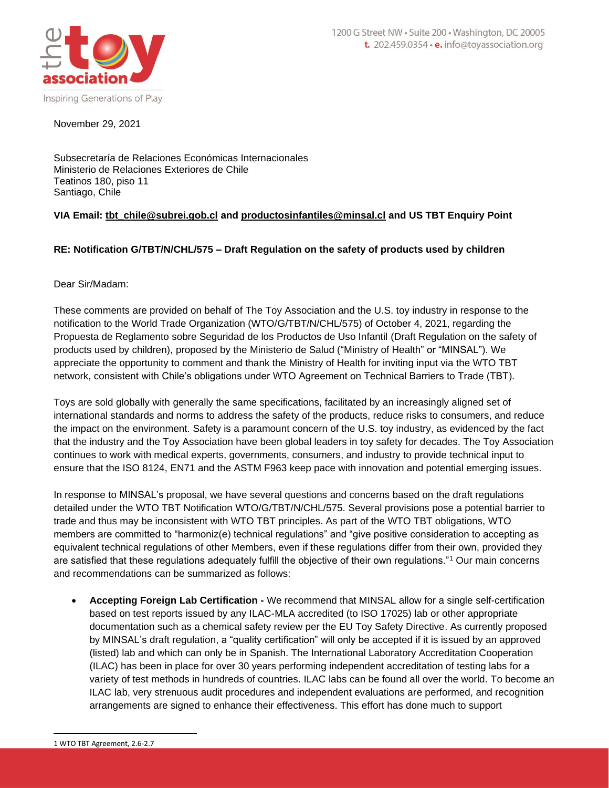

November 29, 2021

Subsecretaría de Relaciones Económicas Internacionales Ministerio de Relaciones Exteriores de Chile Teatinos 180, piso 11 Santiago, Chile

# **VIA Email: [tbt\\_chile@subrei.gob.cl](mailto:tbt_chile@subrei.gob.cl) and productosinfantiles@minsal.cl and US TBT Enquiry Point**

# **RE: Notification G/TBT/N/CHL/575 – Draft Regulation on the safety of products used by children**

Dear Sir/Madam:

These comments are provided on behalf of The Toy Association and the U.S. toy industry in response to the notification to the World Trade Organization (WTO/G/TBT/N/CHL/575) of October 4, 2021, regarding the Propuesta de Reglamento sobre Seguridad de los Productos de Uso Infantil (Draft Regulation on the safety of products used by children), proposed by the Ministerio de Salud ("Ministry of Health" or "MINSAL"). We appreciate the opportunity to comment and thank the Ministry of Health for inviting input via the WTO TBT network, consistent with Chile's obligations under WTO Agreement on Technical Barriers to Trade (TBT).

Toys are sold globally with generally the same specifications, facilitated by an increasingly aligned set of international standards and norms to address the safety of the products, reduce risks to consumers, and reduce the impact on the environment. Safety is a paramount concern of the U.S. toy industry, as evidenced by the fact that the industry and the Toy Association have been global leaders in toy safety for decades. The Toy Association continues to work with medical experts, governments, consumers, and industry to provide technical input to ensure that the ISO 8124, EN71 and the ASTM F963 keep pace with innovation and potential emerging issues.

In response to MINSAL's proposal, we have several questions and concerns based on the draft regulations detailed under the WTO TBT Notification WTO/G/TBT/N/CHL/575. Several provisions pose a potential barrier to trade and thus may be inconsistent with WTO TBT principles. As part of the WTO TBT obligations, WTO members are committed to "harmoniz(e) technical regulations" and "give positive consideration to accepting as equivalent technical regulations of other Members, even if these regulations differ from their own, provided they are satisfied that these regulations adequately fulfill the objective of their own regulations."<sup>1</sup> Our main concerns and recommendations can be summarized as follows:

• **Accepting Foreign Lab Certification -** We recommend that MINSAL allow for a single self-certification based on test reports issued by any ILAC-MLA accredited (to ISO 17025) lab or other appropriate documentation such as a chemical safety review per the EU Toy Safety Directive. As currently proposed by MINSAL's draft regulation, a "quality certification" will only be accepted if it is issued by an approved (listed) lab and which can only be in Spanish. The International Laboratory Accreditation Cooperation (ILAC) has been in place for over 30 years performing independent accreditation of testing labs for a variety of test methods in hundreds of countries. ILAC labs can be found all over the world. To become an ILAC lab, very strenuous audit procedures and independent evaluations are performed, and recognition arrangements are signed to enhance their effectiveness. This effort has done much to support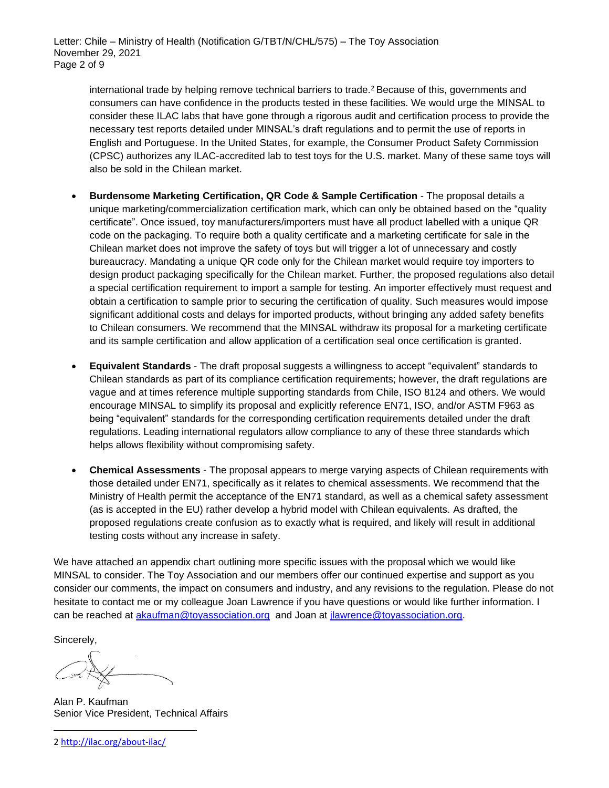international trade by helping remove technical barriers to trade.<sup>2</sup> Because of this, governments and consumers can have confidence in the products tested in these facilities. We would urge the MINSAL to consider these ILAC labs that have gone through a rigorous audit and certification process to provide the necessary test reports detailed under MINSAL's draft regulations and to permit the use of reports in English and Portuguese. In the United States, for example, the Consumer Product Safety Commission (CPSC) authorizes any ILAC-accredited lab to test toys for the U.S. market. Many of these same toys will also be sold in the Chilean market.

- **Burdensome Marketing Certification, QR Code & Sample Certification** The proposal details a unique marketing/commercialization certification mark, which can only be obtained based on the "quality certificate". Once issued, toy manufacturers/importers must have all product labelled with a unique QR code on the packaging. To require both a quality certificate and a marketing certificate for sale in the Chilean market does not improve the safety of toys but will trigger a lot of unnecessary and costly bureaucracy. Mandating a unique QR code only for the Chilean market would require toy importers to design product packaging specifically for the Chilean market. Further, the proposed regulations also detail a special certification requirement to import a sample for testing. An importer effectively must request and obtain a certification to sample prior to securing the certification of quality. Such measures would impose significant additional costs and delays for imported products, without bringing any added safety benefits to Chilean consumers. We recommend that the MINSAL withdraw its proposal for a marketing certificate and its sample certification and allow application of a certification seal once certification is granted.
- **Equivalent Standards** The draft proposal suggests a willingness to accept "equivalent" standards to Chilean standards as part of its compliance certification requirements; however, the draft regulations are vague and at times reference multiple supporting standards from Chile, ISO 8124 and others. We would encourage MINSAL to simplify its proposal and explicitly reference EN71, ISO, and/or ASTM F963 as being "equivalent" standards for the corresponding certification requirements detailed under the draft regulations. Leading international regulators allow compliance to any of these three standards which helps allows flexibility without compromising safety.
- **Chemical Assessments** The proposal appears to merge varying aspects of Chilean requirements with those detailed under EN71, specifically as it relates to chemical assessments. We recommend that the Ministry of Health permit the acceptance of the EN71 standard, as well as a chemical safety assessment (as is accepted in the EU) rather develop a hybrid model with Chilean equivalents. As drafted, the proposed regulations create confusion as to exactly what is required, and likely will result in additional testing costs without any increase in safety.

We have attached an appendix chart outlining more specific issues with the proposal which we would like MINSAL to consider. The Toy Association and our members offer our continued expertise and support as you consider our comments, the impact on consumers and industry, and any revisions to the regulation. Please do not hesitate to contact me or my colleague Joan Lawrence if you have questions or would like further information. I can be reached at [akaufman@toyassociation.org](mailto:akaufman@toyassociation.org) and Joan at [jlawrence@toyassociation.org.](mailto:jlawrence@toyassociation.org)

Sincerely,

Alan P. Kaufman Senior Vice President, Technical Affairs

2 <http://ilac.org/about-ilac/>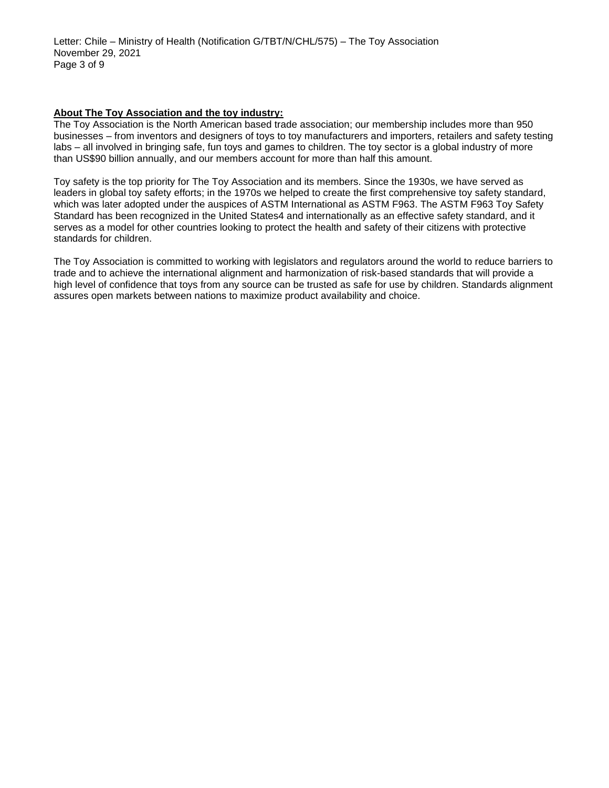Letter: Chile – Ministry of Health (Notification G/TBT/N/CHL/575) – The Toy Association November 29, 2021 Page 3 of 9

### **About The Toy Association and the toy industry:**

The Toy Association is the North American based trade association; our membership includes more than 950 businesses – from inventors and designers of toys to toy manufacturers and importers, retailers and safety testing labs – all involved in bringing safe, fun toys and games to children. The toy sector is a global industry of more than US\$90 billion annually, and our members account for more than half this amount.

Toy safety is the top priority for The Toy Association and its members. Since the 1930s, we have served as leaders in global toy safety efforts; in the 1970s we helped to create the first comprehensive toy safety standard, which was later adopted under the auspices of ASTM International as ASTM F963. The ASTM F963 Toy Safety Standard has been recognized in the United States4 and internationally as an effective safety standard, and it serves as a model for other countries looking to protect the health and safety of their citizens with protective standards for children.

The Toy Association is committed to working with legislators and regulators around the world to reduce barriers to trade and to achieve the international alignment and harmonization of risk-based standards that will provide a high level of confidence that toys from any source can be trusted as safe for use by children. Standards alignment assures open markets between nations to maximize product availability and choice.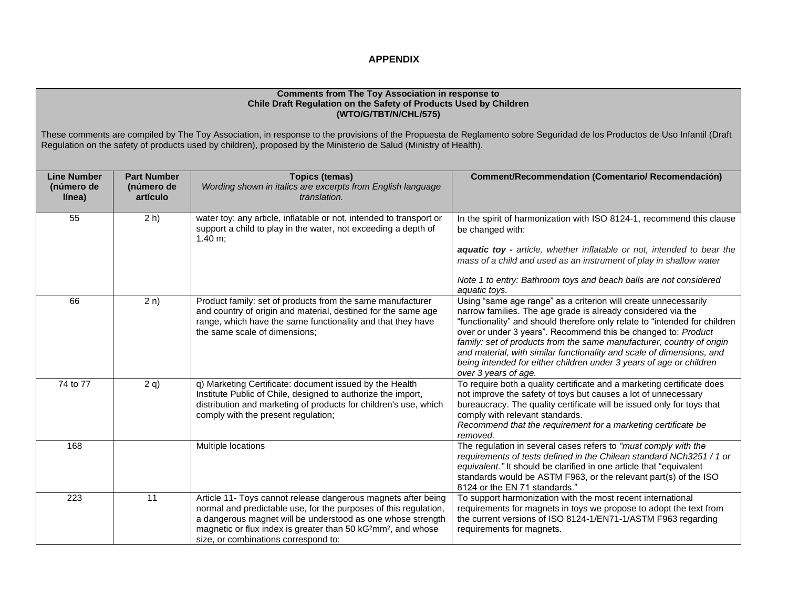### **APPENDIX**

#### **Comments from The Toy Association in response to Chile Draft Regulation on the Safety of Products Used by Children (WTO/G/TBT/N/CHL/575)**

These comments are compiled by The Toy Association, in response to the provisions of the Propuesta de Reglamento sobre Seguridad de los Productos de Uso Infantil (Draft Regulation on the safety of products used by children), proposed by the Ministerio de Salud (Ministry of Health).

| <b>Line Number</b><br>(número de<br>línea) | <b>Part Number</b><br>(número de<br>artículo | <b>Topics (temas)</b><br>Wording shown in italics are excerpts from English language<br>translation.                                                                                                                                                                                                                              | <b>Comment/Recommendation (Comentario/ Recomendación)</b>                                                                                                                                                                                                                                                                                                                                                                                                                                                                       |
|--------------------------------------------|----------------------------------------------|-----------------------------------------------------------------------------------------------------------------------------------------------------------------------------------------------------------------------------------------------------------------------------------------------------------------------------------|---------------------------------------------------------------------------------------------------------------------------------------------------------------------------------------------------------------------------------------------------------------------------------------------------------------------------------------------------------------------------------------------------------------------------------------------------------------------------------------------------------------------------------|
| 55                                         | $2 h$ )                                      | water toy: any article, inflatable or not, intended to transport or<br>support a child to play in the water, not exceeding a depth of<br>$1.40 \text{ m}$ ;                                                                                                                                                                       | In the spirit of harmonization with ISO 8124-1, recommend this clause<br>be changed with:<br>aquatic toy - article, whether inflatable or not, intended to bear the<br>mass of a child and used as an instrument of play in shallow water                                                                                                                                                                                                                                                                                       |
|                                            |                                              |                                                                                                                                                                                                                                                                                                                                   | Note 1 to entry: Bathroom toys and beach balls are not considered<br>aquatic toys.                                                                                                                                                                                                                                                                                                                                                                                                                                              |
| 66                                         | 2n)                                          | Product family: set of products from the same manufacturer<br>and country of origin and material, destined for the same age<br>range, which have the same functionality and that they have<br>the same scale of dimensions;                                                                                                       | Using "same age range" as a criterion will create unnecessarily<br>narrow families. The age grade is already considered via the<br>"functionality" and should therefore only relate to "intended for children<br>over or under 3 years". Recommend this be changed to: Product<br>family: set of products from the same manufacturer, country of origin<br>and material, with similar functionality and scale of dimensions, and<br>being intended for either children under 3 years of age or children<br>over 3 years of age. |
| 74 to 77                                   | 2 q                                          | q) Marketing Certificate: document issued by the Health<br>Institute Public of Chile, designed to authorize the import,<br>distribution and marketing of products for children's use, which<br>comply with the present regulation;                                                                                                | To require both a quality certificate and a marketing certificate does<br>not improve the safety of toys but causes a lot of unnecessary<br>bureaucracy. The quality certificate will be issued only for toys that<br>comply with relevant standards.<br>Recommend that the requirement for a marketing certificate be<br>removed.                                                                                                                                                                                              |
| 168                                        |                                              | Multiple locations                                                                                                                                                                                                                                                                                                                | The regulation in several cases refers to "must comply with the<br>requirements of tests defined in the Chilean standard NCh3251 / 1 or<br>equivalent." It should be clarified in one article that "equivalent<br>standards would be ASTM F963, or the relevant part(s) of the ISO<br>8124 or the EN 71 standards."                                                                                                                                                                                                             |
| 223                                        | $\overline{11}$                              | Article 11- Toys cannot release dangerous magnets after being<br>normal and predictable use, for the purposes of this regulation,<br>a dangerous magnet will be understood as one whose strength<br>magnetic or flux index is greater than 50 kG <sup>2</sup> mm <sup>2</sup> , and whose<br>size, or combinations correspond to: | To support harmonization with the most recent international<br>requirements for magnets in toys we propose to adopt the text from<br>the current versions of ISO 8124-1/EN71-1/ASTM F963 regarding<br>requirements for magnets.                                                                                                                                                                                                                                                                                                 |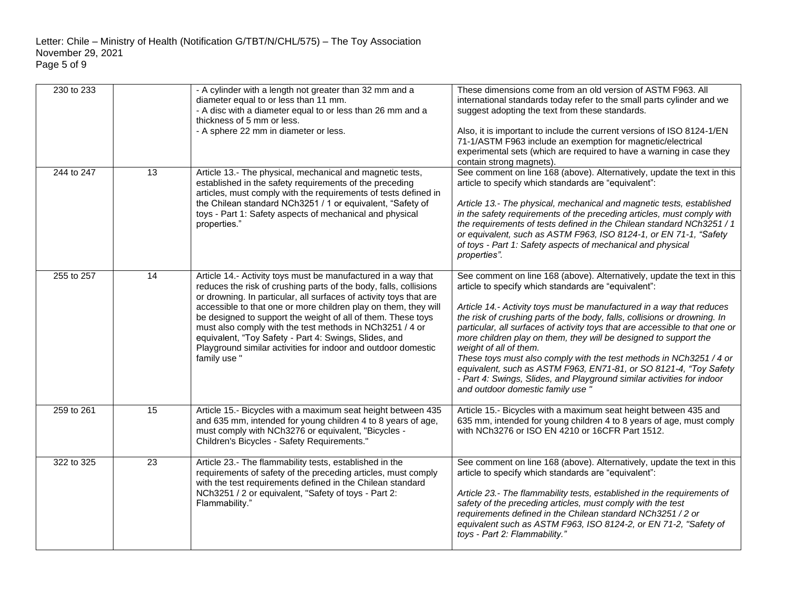| 230 to 233 |    | - A cylinder with a length not greater than 32 mm and a<br>diameter equal to or less than 11 mm.<br>- A disc with a diameter equal to or less than 26 mm and a<br>thickness of 5 mm or less.<br>- A sphere 22 mm in diameter or less.                                                                                                                                                                                                                                                                                                            | These dimensions come from an old version of ASTM F963. All<br>international standards today refer to the small parts cylinder and we<br>suggest adopting the text from these standards.<br>Also, it is important to include the current versions of ISO 8124-1/EN<br>71-1/ASTM F963 include an exemption for magnetic/electrical<br>experimental sets (which are required to have a warning in case they<br>contain strong magnets).                                                                                                                                                                                                                                                                                          |
|------------|----|--------------------------------------------------------------------------------------------------------------------------------------------------------------------------------------------------------------------------------------------------------------------------------------------------------------------------------------------------------------------------------------------------------------------------------------------------------------------------------------------------------------------------------------------------|--------------------------------------------------------------------------------------------------------------------------------------------------------------------------------------------------------------------------------------------------------------------------------------------------------------------------------------------------------------------------------------------------------------------------------------------------------------------------------------------------------------------------------------------------------------------------------------------------------------------------------------------------------------------------------------------------------------------------------|
| 244 to 247 | 13 | Article 13.- The physical, mechanical and magnetic tests,<br>established in the safety requirements of the preceding<br>articles, must comply with the requirements of tests defined in<br>the Chilean standard NCh3251 / 1 or equivalent, "Safety of<br>toys - Part 1: Safety aspects of mechanical and physical<br>properties."                                                                                                                                                                                                                | See comment on line 168 (above). Alternatively, update the text in this<br>article to specify which standards are "equivalent":<br>Article 13.- The physical, mechanical and magnetic tests, established<br>in the safety requirements of the preceding articles, must comply with<br>the requirements of tests defined in the Chilean standard NCh3251 / 1<br>or equivalent, such as ASTM F963, ISO 8124-1, or EN 71-1, "Safety<br>of toys - Part 1: Safety aspects of mechanical and physical<br>properties".                                                                                                                                                                                                                |
| 255 to 257 | 14 | Article 14.- Activity toys must be manufactured in a way that<br>reduces the risk of crushing parts of the body, falls, collisions<br>or drowning. In particular, all surfaces of activity toys that are<br>accessible to that one or more children play on them, they will<br>be designed to support the weight of all of them. These toys<br>must also comply with the test methods in NCh3251 / 4 or<br>equivalent, "Toy Safety - Part 4: Swings, Slides, and<br>Playground similar activities for indoor and outdoor domestic<br>family use" | See comment on line 168 (above). Alternatively, update the text in this<br>article to specify which standards are "equivalent":<br>Article 14.- Activity toys must be manufactured in a way that reduces<br>the risk of crushing parts of the body, falls, collisions or drowning. In<br>particular, all surfaces of activity toys that are accessible to that one or<br>more children play on them, they will be designed to support the<br>weight of all of them.<br>These toys must also comply with the test methods in NCh3251 / 4 or<br>equivalent, such as ASTM F963, EN71-81, or SO 8121-4, "Toy Safety<br>- Part 4: Swings, Slides, and Playground similar activities for indoor<br>and outdoor domestic family use ' |
| 259 to 261 | 15 | Article 15.- Bicycles with a maximum seat height between 435<br>and 635 mm, intended for young children 4 to 8 years of age,<br>must comply with NCh3276 or equivalent, "Bicycles -<br>Children's Bicycles - Safety Requirements."                                                                                                                                                                                                                                                                                                               | Article 15.- Bicycles with a maximum seat height between 435 and<br>635 mm, intended for young children 4 to 8 years of age, must comply<br>with NCh3276 or ISO EN 4210 or 16CFR Part 1512.                                                                                                                                                                                                                                                                                                                                                                                                                                                                                                                                    |
| 322 to 325 | 23 | Article 23.- The flammability tests, established in the<br>requirements of safety of the preceding articles, must comply<br>with the test requirements defined in the Chilean standard<br>NCh3251 / 2 or equivalent, "Safety of toys - Part 2:<br>Flammability."                                                                                                                                                                                                                                                                                 | See comment on line 168 (above). Alternatively, update the text in this<br>article to specify which standards are "equivalent":<br>Article 23.- The flammability tests, established in the requirements of<br>safety of the preceding articles, must comply with the test<br>requirements defined in the Chilean standard NCh3251 / 2 or<br>equivalent such as ASTM F963, ISO 8124-2, or EN 71-2, "Safety of<br>toys - Part 2: Flammability."                                                                                                                                                                                                                                                                                  |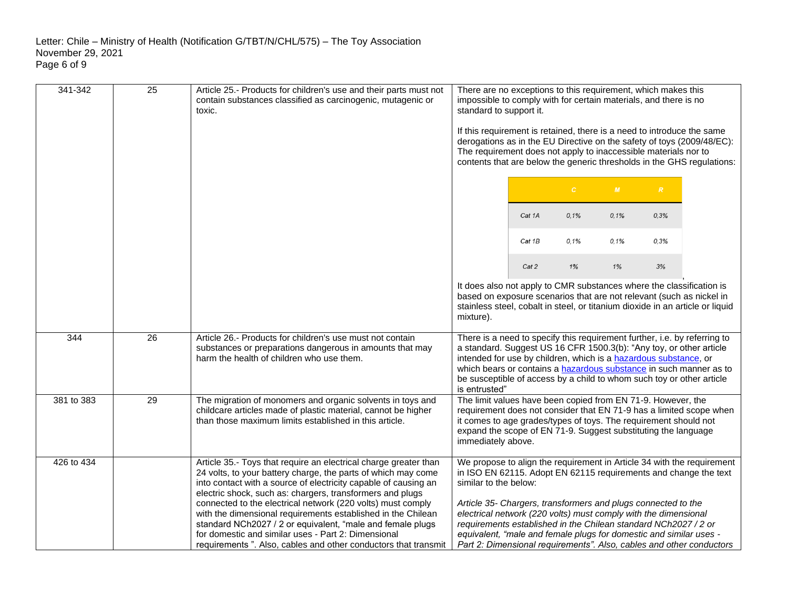| 341-342          | $\overline{25}$ | Article 25.- Products for children's use and their parts must not<br>contain substances classified as carcinogenic, mutagenic or<br>toxic.                                                                                                                                                                                                                                                                                                                                                                                                                                               | There are no exceptions to this requirement, which makes this<br>impossible to comply with for certain materials, and there is no<br>standard to support it.<br>If this requirement is retained, there is a need to introduce the same                                                                         |        |              |      |      |                                                                                                                                                                                                                    |
|------------------|-----------------|------------------------------------------------------------------------------------------------------------------------------------------------------------------------------------------------------------------------------------------------------------------------------------------------------------------------------------------------------------------------------------------------------------------------------------------------------------------------------------------------------------------------------------------------------------------------------------------|----------------------------------------------------------------------------------------------------------------------------------------------------------------------------------------------------------------------------------------------------------------------------------------------------------------|--------|--------------|------|------|--------------------------------------------------------------------------------------------------------------------------------------------------------------------------------------------------------------------|
|                  |                 |                                                                                                                                                                                                                                                                                                                                                                                                                                                                                                                                                                                          | The requirement does not apply to inaccessible materials nor to                                                                                                                                                                                                                                                |        |              |      |      | derogations as in the EU Directive on the safety of toys (2009/48/EC):<br>contents that are below the generic thresholds in the GHS regulations:                                                                   |
|                  |                 |                                                                                                                                                                                                                                                                                                                                                                                                                                                                                                                                                                                          |                                                                                                                                                                                                                                                                                                                |        | $\mathbb{C}$ | M    | R    |                                                                                                                                                                                                                    |
|                  |                 |                                                                                                                                                                                                                                                                                                                                                                                                                                                                                                                                                                                          |                                                                                                                                                                                                                                                                                                                | Cat 1A | 0.1%         | 0,1% | 0,3% |                                                                                                                                                                                                                    |
|                  |                 |                                                                                                                                                                                                                                                                                                                                                                                                                                                                                                                                                                                          |                                                                                                                                                                                                                                                                                                                | Cat 1B | 0,1%         | 0.1% | 0.3% |                                                                                                                                                                                                                    |
|                  |                 |                                                                                                                                                                                                                                                                                                                                                                                                                                                                                                                                                                                          |                                                                                                                                                                                                                                                                                                                | Cat 2  | 1%           | 1%   | 3%   |                                                                                                                                                                                                                    |
|                  |                 |                                                                                                                                                                                                                                                                                                                                                                                                                                                                                                                                                                                          | It does also not apply to CMR substances where the classification is<br>based on exposure scenarios that are not relevant (such as nickel in<br>mixture).                                                                                                                                                      |        |              |      |      | stainless steel, cobalt in steel, or titanium dioxide in an article or liquid                                                                                                                                      |
| $\overline{344}$ | 26              | Article 26.- Products for children's use must not contain<br>substances or preparations dangerous in amounts that may<br>harm the health of children who use them.                                                                                                                                                                                                                                                                                                                                                                                                                       | There is a need to specify this requirement further, i.e. by referring to<br>a standard. Suggest US 16 CFR 1500.3(b): "Any toy, or other article<br>intended for use by children, which is a hazardous substance, or<br>be susceptible of access by a child to whom such toy or other article<br>is entrusted" |        |              |      |      | which bears or contains a hazardous substance in such manner as to                                                                                                                                                 |
| 381 to 383       | 29              | The migration of monomers and organic solvents in toys and<br>childcare articles made of plastic material, cannot be higher<br>than those maximum limits established in this article.                                                                                                                                                                                                                                                                                                                                                                                                    | The limit values have been copied from EN 71-9. However, the<br>it comes to age grades/types of toys. The requirement should not<br>expand the scope of EN 71-9. Suggest substituting the language<br>immediately above.                                                                                       |        |              |      |      | requirement does not consider that EN 71-9 has a limited scope when                                                                                                                                                |
| 426 to 434       |                 | Article 35.- Toys that require an electrical charge greater than<br>24 volts, to your battery charge, the parts of which may come<br>into contact with a source of electricity capable of causing an<br>electric shock, such as: chargers, transformers and plugs<br>connected to the electrical network (220 volts) must comply<br>with the dimensional requirements established in the Chilean<br>standard NCh2027 / 2 or equivalent, "male and female plugs<br>for domestic and similar uses - Part 2: Dimensional<br>requirements ". Also, cables and other conductors that transmit | similar to the below:<br>Article 35- Chargers, transformers and plugs connected to the<br>electrical network (220 volts) must comply with the dimensional<br>requirements established in the Chilean standard NCh2027 / 2 or<br>equivalent, "male and female plugs for domestic and similar uses -             |        |              |      |      | We propose to align the requirement in Article 34 with the requirement<br>in ISO EN 62115. Adopt EN 62115 requirements and change the text<br>Part 2: Dimensional requirements". Also, cables and other conductors |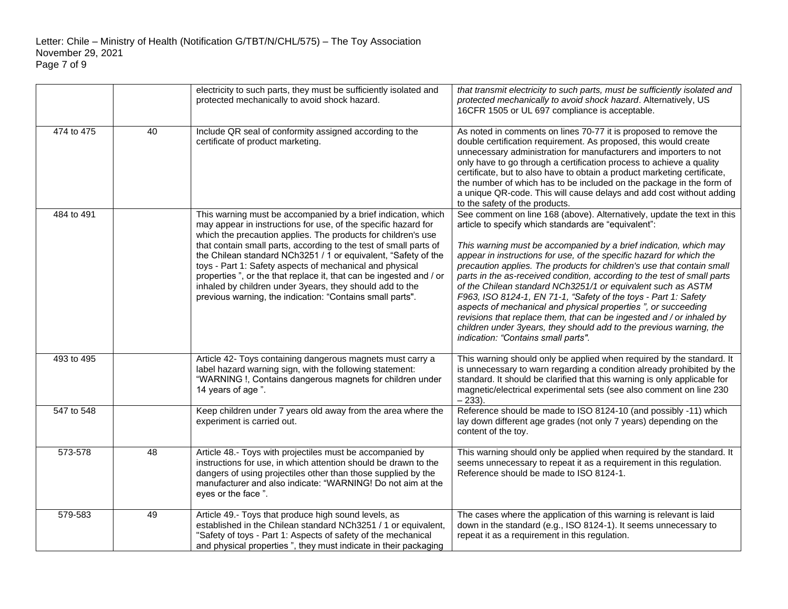|            |    | electricity to such parts, they must be sufficiently isolated and<br>protected mechanically to avoid shock hazard.                                                                                                                                                                                                                                                                                                                                                                                                                                                                                 | that transmit electricity to such parts, must be sufficiently isolated and<br>protected mechanically to avoid shock hazard. Alternatively, US<br>16CFR 1505 or UL 697 compliance is acceptable.                                                                                                                                                                                                                                                                                                                                                                                                                                                                                                                                                                                                                                |
|------------|----|----------------------------------------------------------------------------------------------------------------------------------------------------------------------------------------------------------------------------------------------------------------------------------------------------------------------------------------------------------------------------------------------------------------------------------------------------------------------------------------------------------------------------------------------------------------------------------------------------|--------------------------------------------------------------------------------------------------------------------------------------------------------------------------------------------------------------------------------------------------------------------------------------------------------------------------------------------------------------------------------------------------------------------------------------------------------------------------------------------------------------------------------------------------------------------------------------------------------------------------------------------------------------------------------------------------------------------------------------------------------------------------------------------------------------------------------|
| 474 to 475 | 40 | Include QR seal of conformity assigned according to the<br>certificate of product marketing.                                                                                                                                                                                                                                                                                                                                                                                                                                                                                                       | As noted in comments on lines 70-77 it is proposed to remove the<br>double certification requirement. As proposed, this would create<br>unnecessary administration for manufacturers and importers to not<br>only have to go through a certification process to achieve a quality<br>certificate, but to also have to obtain a product marketing certificate,<br>the number of which has to be included on the package in the form of<br>a unique QR-code. This will cause delays and add cost without adding<br>to the safety of the products.                                                                                                                                                                                                                                                                                |
| 484 to 491 |    | This warning must be accompanied by a brief indication, which<br>may appear in instructions for use, of the specific hazard for<br>which the precaution applies. The products for children's use<br>that contain small parts, according to the test of small parts of<br>the Chilean standard NCh3251 / 1 or equivalent, "Safety of the<br>toys - Part 1: Safety aspects of mechanical and physical<br>properties", or the that replace it, that can be ingested and / or<br>inhaled by children under 3years, they should add to the<br>previous warning, the indication: "Contains small parts". | See comment on line 168 (above). Alternatively, update the text in this<br>article to specify which standards are "equivalent":<br>This warning must be accompanied by a brief indication, which may<br>appear in instructions for use, of the specific hazard for which the<br>precaution applies. The products for children's use that contain small<br>parts in the as-received condition, according to the test of small parts<br>of the Chilean standard NCh3251/1 or equivalent such as ASTM<br>F963, ISO 8124-1, EN 71-1, "Safety of the toys - Part 1: Safety<br>aspects of mechanical and physical properties ", or succeeding<br>revisions that replace them, that can be ingested and / or inhaled by<br>children under 3years, they should add to the previous warning, the<br>indication: "Contains small parts". |
| 493 to 495 |    | Article 42- Toys containing dangerous magnets must carry a<br>label hazard warning sign, with the following statement:<br>"WARNING !, Contains dangerous magnets for children under<br>14 years of age".                                                                                                                                                                                                                                                                                                                                                                                           | This warning should only be applied when required by the standard. It<br>is unnecessary to warn regarding a condition already prohibited by the<br>standard. It should be clarified that this warning is only applicable for<br>magnetic/electrical experimental sets (see also comment on line 230<br>$-233$ ).                                                                                                                                                                                                                                                                                                                                                                                                                                                                                                               |
| 547 to 548 |    | Keep children under 7 years old away from the area where the<br>experiment is carried out.                                                                                                                                                                                                                                                                                                                                                                                                                                                                                                         | Reference should be made to ISO 8124-10 (and possibly -11) which<br>lay down different age grades (not only 7 years) depending on the<br>content of the toy.                                                                                                                                                                                                                                                                                                                                                                                                                                                                                                                                                                                                                                                                   |
| 573-578    | 48 | Article 48.- Toys with projectiles must be accompanied by<br>instructions for use, in which attention should be drawn to the<br>dangers of using projectiles other than those supplied by the<br>manufacturer and also indicate: "WARNING! Do not aim at the<br>eyes or the face".                                                                                                                                                                                                                                                                                                                 | This warning should only be applied when required by the standard. It<br>seems unnecessary to repeat it as a requirement in this regulation.<br>Reference should be made to ISO 8124-1.                                                                                                                                                                                                                                                                                                                                                                                                                                                                                                                                                                                                                                        |
| 579-583    | 49 | Article 49.- Toys that produce high sound levels, as<br>established in the Chilean standard NCh3251 / 1 or equivalent,<br>"Safety of toys - Part 1: Aspects of safety of the mechanical<br>and physical properties ", they must indicate in their packaging                                                                                                                                                                                                                                                                                                                                        | The cases where the application of this warning is relevant is laid<br>down in the standard (e.g., ISO 8124-1). It seems unnecessary to<br>repeat it as a requirement in this regulation.                                                                                                                                                                                                                                                                                                                                                                                                                                                                                                                                                                                                                                      |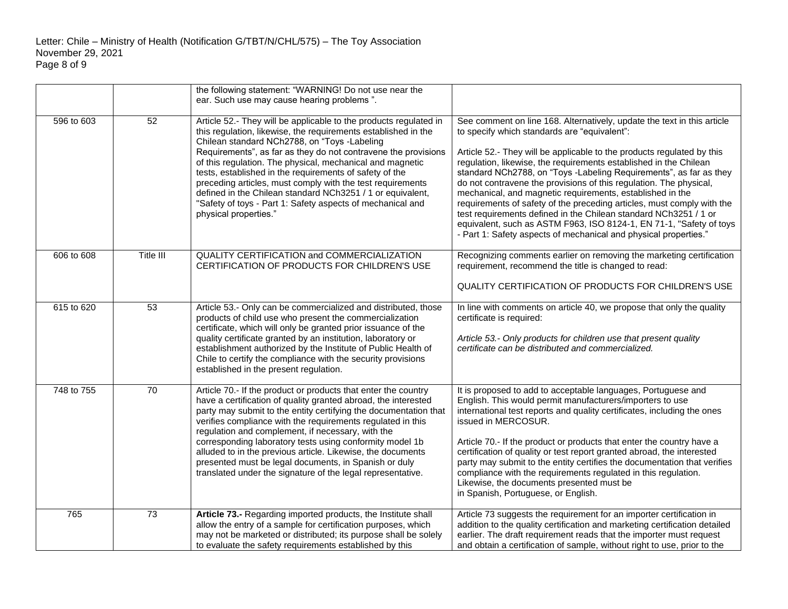|            |                 | the following statement: "WARNING! Do not use near the<br>ear. Such use may cause hearing problems".                                                                                                                                                                                                                                                                                                                                                                                                                                                                                             |                                                                                                                                                                                                                                                                                                                                                                                                                                                                                                                                                                                                                                                                                                                                                                          |
|------------|-----------------|--------------------------------------------------------------------------------------------------------------------------------------------------------------------------------------------------------------------------------------------------------------------------------------------------------------------------------------------------------------------------------------------------------------------------------------------------------------------------------------------------------------------------------------------------------------------------------------------------|--------------------------------------------------------------------------------------------------------------------------------------------------------------------------------------------------------------------------------------------------------------------------------------------------------------------------------------------------------------------------------------------------------------------------------------------------------------------------------------------------------------------------------------------------------------------------------------------------------------------------------------------------------------------------------------------------------------------------------------------------------------------------|
| 596 to 603 | $\overline{52}$ | Article 52.- They will be applicable to the products regulated in<br>this regulation, likewise, the requirements established in the<br>Chilean standard NCh2788, on "Toys -Labeling<br>Requirements", as far as they do not contravene the provisions<br>of this regulation. The physical, mechanical and magnetic<br>tests, established in the requirements of safety of the<br>preceding articles, must comply with the test requirements<br>defined in the Chilean standard NCh3251 / 1 or equivalent,<br>"Safety of toys - Part 1: Safety aspects of mechanical and<br>physical properties." | See comment on line 168. Alternatively, update the text in this article<br>to specify which standards are "equivalent":<br>Article 52.- They will be applicable to the products regulated by this<br>regulation, likewise, the requirements established in the Chilean<br>standard NCh2788, on "Toys -Labeling Requirements", as far as they<br>do not contravene the provisions of this regulation. The physical,<br>mechanical, and magnetic requirements, established in the<br>requirements of safety of the preceding articles, must comply with the<br>test requirements defined in the Chilean standard NCh3251 / 1 or<br>equivalent, such as ASTM F963, ISO 8124-1, EN 71-1, "Safety of toys<br>- Part 1: Safety aspects of mechanical and physical properties." |
| 606 to 608 | Title III       | QUALITY CERTIFICATION and COMMERCIALIZATION<br>CERTIFICATION OF PRODUCTS FOR CHILDREN'S USE                                                                                                                                                                                                                                                                                                                                                                                                                                                                                                      | Recognizing comments earlier on removing the marketing certification<br>requirement, recommend the title is changed to read:<br>QUALITY CERTIFICATION OF PRODUCTS FOR CHILDREN'S USE                                                                                                                                                                                                                                                                                                                                                                                                                                                                                                                                                                                     |
| 615 to 620 | 53              | Article 53.- Only can be commercialized and distributed, those<br>products of child use who present the commercialization<br>certificate, which will only be granted prior issuance of the<br>quality certificate granted by an institution, laboratory or<br>establishment authorized by the Institute of Public Health of<br>Chile to certify the compliance with the security provisions<br>established in the present regulation.                                                                                                                                                            | In line with comments on article 40, we propose that only the quality<br>certificate is required:<br>Article 53.- Only products for children use that present quality<br>certificate can be distributed and commercialized.                                                                                                                                                                                                                                                                                                                                                                                                                                                                                                                                              |
| 748 to 755 | 70              | Article 70.- If the product or products that enter the country<br>have a certification of quality granted abroad, the interested<br>party may submit to the entity certifying the documentation that<br>verifies compliance with the requirements regulated in this<br>regulation and complement, if necessary, with the<br>corresponding laboratory tests using conformity model 1b<br>alluded to in the previous article. Likewise, the documents<br>presented must be legal documents, in Spanish or duly<br>translated under the signature of the legal representative.                      | It is proposed to add to acceptable languages, Portuguese and<br>English. This would permit manufacturers/importers to use<br>international test reports and quality certificates, including the ones<br>issued in MERCOSUR.<br>Article 70.- If the product or products that enter the country have a<br>certification of quality or test report granted abroad, the interested<br>party may submit to the entity certifies the documentation that verifies<br>compliance with the requirements regulated in this regulation.<br>Likewise, the documents presented must be<br>in Spanish, Portuguese, or English.                                                                                                                                                        |
| 765        | 73              | Article 73.- Regarding imported products, the Institute shall<br>allow the entry of a sample for certification purposes, which<br>may not be marketed or distributed; its purpose shall be solely<br>to evaluate the safety requirements established by this                                                                                                                                                                                                                                                                                                                                     | Article 73 suggests the requirement for an importer certification in<br>addition to the quality certification and marketing certification detailed<br>earlier. The draft requirement reads that the importer must request<br>and obtain a certification of sample, without right to use, prior to the                                                                                                                                                                                                                                                                                                                                                                                                                                                                    |